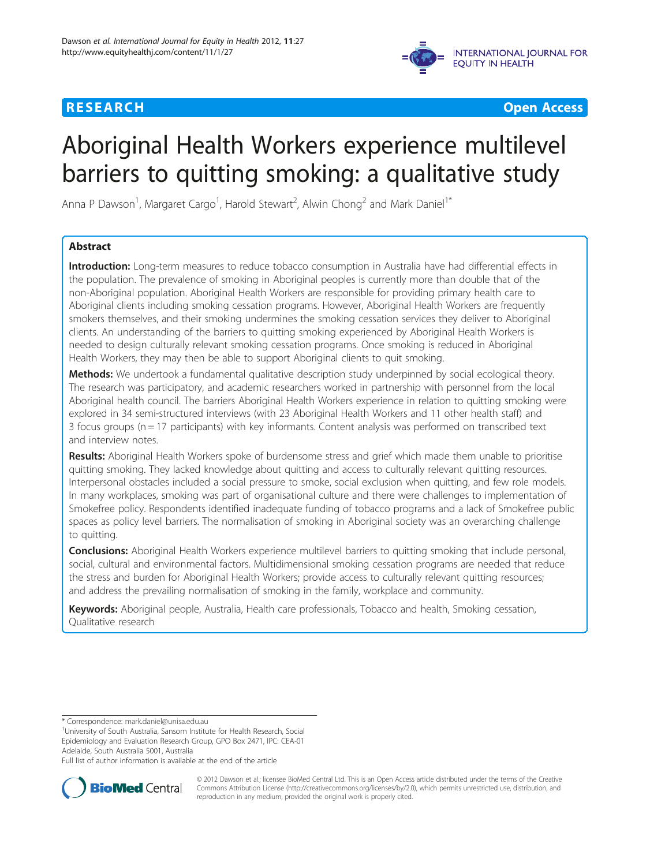# **INTERNATIONAL JOURNAL FOR EOUITY IN HEALTH**

**RESEARCH CHILD CONTROL** CONTROL CONTROL CONTROL CONTROL CONTROL CONTROL CONTROL CONTROL CONTROL CONTROL CONTROL CONTROL CONTROL CONTROL CONTROL CONTROL CONTROL CONTROL CONTROL CONTROL CONTROL CONTROL CONTROL CONTROL CONTR

# Aboriginal Health Workers experience multilevel barriers to quitting smoking: a qualitative study

Anna P Dawson<sup>1</sup>, Margaret Cargo<sup>1</sup>, Harold Stewart<sup>2</sup>, Alwin Chong<sup>2</sup> and Mark Daniel<sup>1\*</sup>

## Abstract

Introduction: Long-term measures to reduce tobacco consumption in Australia have had differential effects in the population. The prevalence of smoking in Aboriginal peoples is currently more than double that of the non-Aboriginal population. Aboriginal Health Workers are responsible for providing primary health care to Aboriginal clients including smoking cessation programs. However, Aboriginal Health Workers are frequently smokers themselves, and their smoking undermines the smoking cessation services they deliver to Aboriginal clients. An understanding of the barriers to quitting smoking experienced by Aboriginal Health Workers is needed to design culturally relevant smoking cessation programs. Once smoking is reduced in Aboriginal Health Workers, they may then be able to support Aboriginal clients to quit smoking.

Methods: We undertook a fundamental qualitative description study underpinned by social ecological theory. The research was participatory, and academic researchers worked in partnership with personnel from the local Aboriginal health council. The barriers Aboriginal Health Workers experience in relation to quitting smoking were explored in 34 semi-structured interviews (with 23 Aboriginal Health Workers and 11 other health staff) and 3 focus groups (n = 17 participants) with key informants. Content analysis was performed on transcribed text and interview notes.

Results: Aboriginal Health Workers spoke of burdensome stress and grief which made them unable to prioritise quitting smoking. They lacked knowledge about quitting and access to culturally relevant quitting resources. Interpersonal obstacles included a social pressure to smoke, social exclusion when quitting, and few role models. In many workplaces, smoking was part of organisational culture and there were challenges to implementation of Smokefree policy. Respondents identified inadequate funding of tobacco programs and a lack of Smokefree public spaces as policy level barriers. The normalisation of smoking in Aboriginal society was an overarching challenge to quitting.

**Conclusions:** Aboriginal Health Workers experience multilevel barriers to quitting smoking that include personal, social, cultural and environmental factors. Multidimensional smoking cessation programs are needed that reduce the stress and burden for Aboriginal Health Workers; provide access to culturally relevant quitting resources; and address the prevailing normalisation of smoking in the family, workplace and community.

Keywords: Aboriginal people, Australia, Health care professionals, Tobacco and health, Smoking cessation, Qualitative research

\* Correspondence: [mark.daniel@unisa.edu.au](mailto:mark.daniel@unisa.edu.au) <sup>1</sup>

Full list of author information is available at the end of the article



© 2012 Dawson et al.; licensee BioMed Central Ltd. This is an Open Access article distributed under the terms of the Creative Commons Attribution License [\(http://creativecommons.org/licenses/by/2.0\)](http://creativecommons.org/licenses/by/2.0), which permits unrestricted use, distribution, and reproduction in any medium, provided the original work is properly cited.

University of South Australia, Sansom Institute for Health Research, Social Epidemiology and Evaluation Research Group, GPO Box 2471, IPC: CEA-01 Adelaide, South Australia 5001, Australia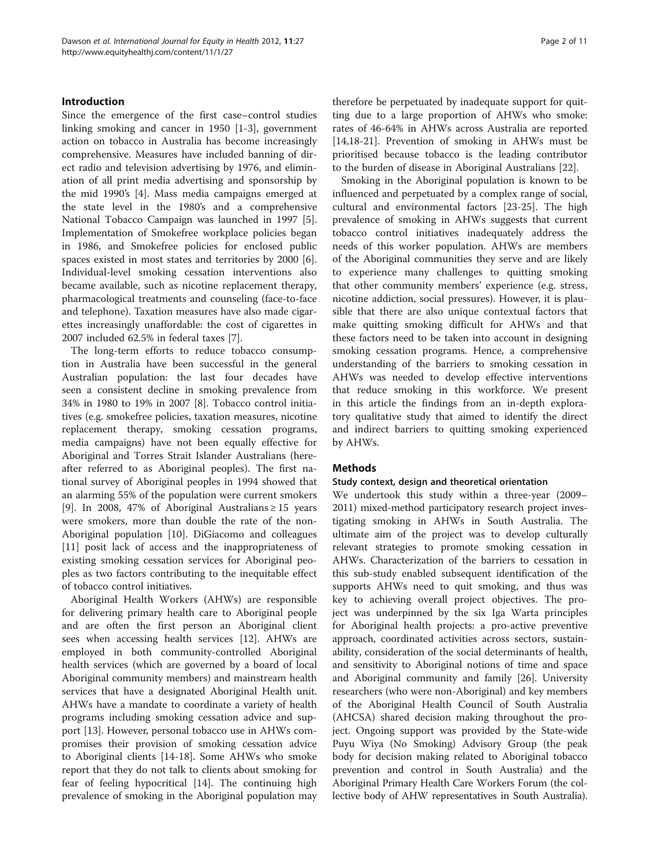#### Introduction

Since the emergence of the first case–control studies linking smoking and cancer in 1950 [\[1](#page-9-0)-[3\]](#page-9-0), government action on tobacco in Australia has become increasingly comprehensive. Measures have included banning of direct radio and television advertising by 1976, and elimination of all print media advertising and sponsorship by the mid 1990's [[4\]](#page-9-0). Mass media campaigns emerged at the state level in the 1980's and a comprehensive National Tobacco Campaign was launched in 1997 [\[5](#page-9-0)]. Implementation of Smokefree workplace policies began in 1986, and Smokefree policies for enclosed public spaces existed in most states and territories by 2000 [\[6](#page-9-0)]. Individual-level smoking cessation interventions also became available, such as nicotine replacement therapy, pharmacological treatments and counseling (face-to-face and telephone). Taxation measures have also made cigarettes increasingly unaffordable: the cost of cigarettes in 2007 included 62.5% in federal taxes [\[7\]](#page-9-0).

The long-term efforts to reduce tobacco consumption in Australia have been successful in the general Australian population: the last four decades have seen a consistent decline in smoking prevalence from 34% in 1980 to 19% in 2007 [\[8\]](#page-9-0). Tobacco control initiatives (e.g. smokefree policies, taxation measures, nicotine replacement therapy, smoking cessation programs, media campaigns) have not been equally effective for Aboriginal and Torres Strait Islander Australians (hereafter referred to as Aboriginal peoples). The first national survey of Aboriginal peoples in 1994 showed that an alarming 55% of the population were current smokers [[9\]](#page-9-0). In 2008, 47% of Aboriginal Australians  $\geq 15$  years were smokers, more than double the rate of the non-Aboriginal population [[10\]](#page-9-0). DiGiacomo and colleagues [[11\]](#page-9-0) posit lack of access and the inappropriateness of existing smoking cessation services for Aboriginal peoples as two factors contributing to the inequitable effect of tobacco control initiatives.

Aboriginal Health Workers (AHWs) are responsible for delivering primary health care to Aboriginal people and are often the first person an Aboriginal client sees when accessing health services [[12\]](#page-9-0). AHWs are employed in both community-controlled Aboriginal health services (which are governed by a board of local Aboriginal community members) and mainstream health services that have a designated Aboriginal Health unit. AHWs have a mandate to coordinate a variety of health programs including smoking cessation advice and support [[13\]](#page-9-0). However, personal tobacco use in AHWs compromises their provision of smoking cessation advice to Aboriginal clients [\[14](#page-9-0)-[18\]](#page-9-0). Some AHWs who smoke report that they do not talk to clients about smoking for fear of feeling hypocritical [\[14](#page-9-0)]. The continuing high prevalence of smoking in the Aboriginal population may therefore be perpetuated by inadequate support for quitting due to a large proportion of AHWs who smoke: rates of 46-64% in AHWs across Australia are reported [[14,18-21](#page-9-0)]. Prevention of smoking in AHWs must be prioritised because tobacco is the leading contributor to the burden of disease in Aboriginal Australians [\[22](#page-9-0)].

Smoking in the Aboriginal population is known to be influenced and perpetuated by a complex range of social, cultural and environmental factors [\[23](#page-9-0)-[25\]](#page-10-0). The high prevalence of smoking in AHWs suggests that current tobacco control initiatives inadequately address the needs of this worker population. AHWs are members of the Aboriginal communities they serve and are likely to experience many challenges to quitting smoking that other community members' experience (e.g. stress, nicotine addiction, social pressures). However, it is plausible that there are also unique contextual factors that make quitting smoking difficult for AHWs and that these factors need to be taken into account in designing smoking cessation programs. Hence, a comprehensive understanding of the barriers to smoking cessation in AHWs was needed to develop effective interventions that reduce smoking in this workforce. We present in this article the findings from an in-depth exploratory qualitative study that aimed to identify the direct and indirect barriers to quitting smoking experienced by AHWs.

### **Methods**

#### Study context, design and theoretical orientation

We undertook this study within a three-year (2009– 2011) mixed-method participatory research project investigating smoking in AHWs in South Australia. The ultimate aim of the project was to develop culturally relevant strategies to promote smoking cessation in AHWs. Characterization of the barriers to cessation in this sub-study enabled subsequent identification of the supports AHWs need to quit smoking, and thus was key to achieving overall project objectives. The project was underpinned by the six Iga Warta principles for Aboriginal health projects: a pro-active preventive approach, coordinated activities across sectors, sustainability, consideration of the social determinants of health, and sensitivity to Aboriginal notions of time and space and Aboriginal community and family [\[26\]](#page-10-0). University researchers (who were non-Aboriginal) and key members of the Aboriginal Health Council of South Australia (AHCSA) shared decision making throughout the project. Ongoing support was provided by the State-wide Puyu Wiya (No Smoking) Advisory Group (the peak body for decision making related to Aboriginal tobacco prevention and control in South Australia) and the Aboriginal Primary Health Care Workers Forum (the collective body of AHW representatives in South Australia).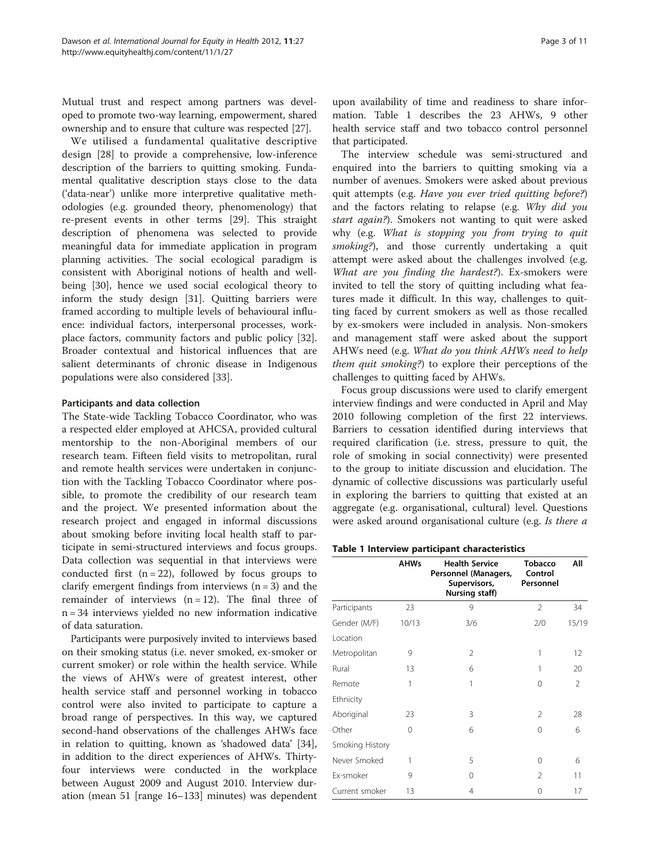Mutual trust and respect among partners was developed to promote two-way learning, empowerment, shared ownership and to ensure that culture was respected [\[27](#page-10-0)].

We utilised a fundamental qualitative descriptive design [[28\]](#page-10-0) to provide a comprehensive, low-inference description of the barriers to quitting smoking. Fundamental qualitative description stays close to the data ('data-near') unlike more interpretive qualitative methodologies (e.g. grounded theory, phenomenology) that re-present events in other terms [\[29](#page-10-0)]. This straight description of phenomena was selected to provide meaningful data for immediate application in program planning activities. The social ecological paradigm is consistent with Aboriginal notions of health and wellbeing [\[30](#page-10-0)], hence we used social ecological theory to inform the study design [\[31](#page-10-0)]. Quitting barriers were framed according to multiple levels of behavioural influence: individual factors, interpersonal processes, workplace factors, community factors and public policy [\[32](#page-10-0)]. Broader contextual and historical influences that are salient determinants of chronic disease in Indigenous populations were also considered [[33\]](#page-10-0).

#### Participants and data collection

The State-wide Tackling Tobacco Coordinator, who was a respected elder employed at AHCSA, provided cultural mentorship to the non-Aboriginal members of our research team. Fifteen field visits to metropolitan, rural and remote health services were undertaken in conjunction with the Tackling Tobacco Coordinator where possible, to promote the credibility of our research team and the project. We presented information about the research project and engaged in informal discussions about smoking before inviting local health staff to participate in semi-structured interviews and focus groups. Data collection was sequential in that interviews were conducted first  $(n = 22)$ , followed by focus groups to clarify emergent findings from interviews  $(n = 3)$  and the remainder of interviews  $(n = 12)$ . The final three of n = 34 interviews yielded no new information indicative of data saturation.

Participants were purposively invited to interviews based on their smoking status (i.e. never smoked, ex-smoker or current smoker) or role within the health service. While the views of AHWs were of greatest interest, other health service staff and personnel working in tobacco control were also invited to participate to capture a broad range of perspectives. In this way, we captured second-hand observations of the challenges AHWs face in relation to quitting, known as 'shadowed data' [\[34](#page-10-0)], in addition to the direct experiences of AHWs. Thirtyfour interviews were conducted in the workplace between August 2009 and August 2010. Interview duration (mean 51 [range 16–133] minutes) was dependent

upon availability of time and readiness to share information. Table 1 describes the 23 AHWs, 9 other health service staff and two tobacco control personnel that participated.

The interview schedule was semi-structured and enquired into the barriers to quitting smoking via a number of avenues. Smokers were asked about previous quit attempts (e.g. Have you ever tried quitting before?) and the factors relating to relapse (e.g. Why did you start again?). Smokers not wanting to quit were asked why (e.g. What is stopping you from trying to quit smoking?), and those currently undertaking a quit attempt were asked about the challenges involved (e.g. What are you finding the hardest?). Ex-smokers were invited to tell the story of quitting including what features made it difficult. In this way, challenges to quitting faced by current smokers as well as those recalled by ex-smokers were included in analysis. Non-smokers and management staff were asked about the support AHWs need (e.g. What do you think AHWs need to help them quit smoking?) to explore their perceptions of the challenges to quitting faced by AHWs.

Focus group discussions were used to clarify emergent interview findings and were conducted in April and May 2010 following completion of the first 22 interviews. Barriers to cessation identified during interviews that required clarification (i.e. stress, pressure to quit, the role of smoking in social connectivity) were presented to the group to initiate discussion and elucidation. The dynamic of collective discussions was particularly useful in exploring the barriers to quitting that existed at an aggregate (e.g. organisational, cultural) level. Questions were asked around organisational culture (e.g. Is there a

|  |  |  |  | Table 1 Interview participant characteristics |
|--|--|--|--|-----------------------------------------------|
|--|--|--|--|-----------------------------------------------|

|                 | <b>AHWs</b> | <b>Health Service</b><br>Personnel (Managers,<br>Supervisors,<br>Nursing staff) | <b>Tobacco</b><br>Control<br>Personnel | All            |
|-----------------|-------------|---------------------------------------------------------------------------------|----------------------------------------|----------------|
| Participants    | 23          | 9                                                                               | $\mathfrak{D}$                         | 34             |
| Gender (M/F)    | 10/13       | 3/6                                                                             | 2/0                                    | 15/19          |
| Location        |             |                                                                                 |                                        |                |
| Metropolitan    | 9           | $\mathfrak{D}$                                                                  | 1                                      | 12             |
| Rural           | 13          | 6                                                                               | 1                                      | 20             |
| Remote          | 1           | 1                                                                               | 0                                      | $\mathfrak{D}$ |
| Ethnicity       |             |                                                                                 |                                        |                |
| Aboriginal      | 23          | 3                                                                               | $\overline{2}$                         | 28             |
| Other           | 0           | 6                                                                               | $\Omega$                               | 6              |
| Smoking History |             |                                                                                 |                                        |                |
| Never Smoked    | 1           | 5                                                                               | 0                                      | 6              |
| Ex-smoker       | 9           | 0                                                                               | $\mathfrak{D}$                         | 11             |
| Current smoker  | 13          | 4                                                                               | 0                                      | 17             |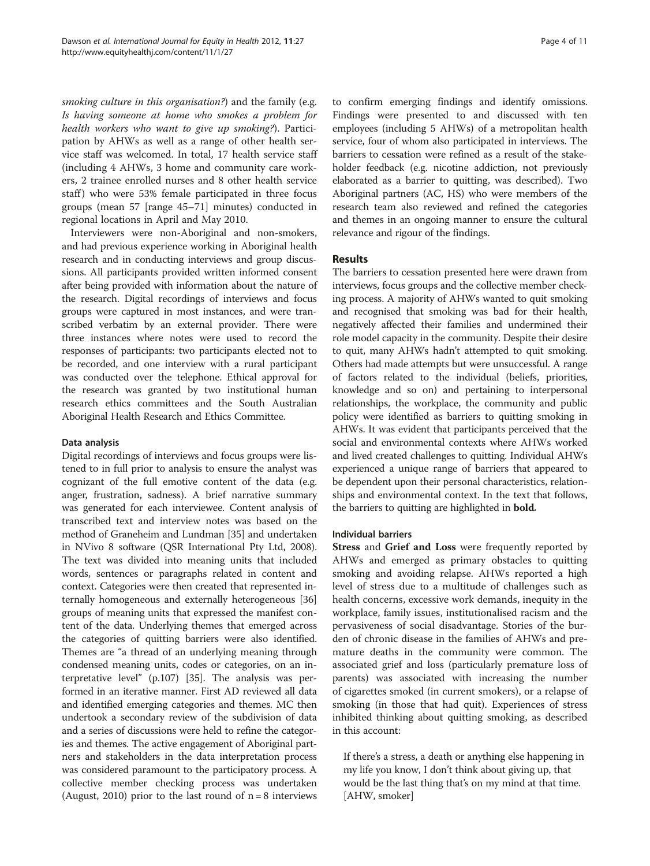smoking culture in this organisation?) and the family (e.g. Is having someone at home who smokes a problem for health workers who want to give up smoking?). Participation by AHWs as well as a range of other health service staff was welcomed. In total, 17 health service staff (including 4 AHWs, 3 home and community care workers, 2 trainee enrolled nurses and 8 other health service staff) who were 53% female participated in three focus groups (mean 57 [range 45–71] minutes) conducted in regional locations in April and May 2010.

Interviewers were non-Aboriginal and non-smokers, and had previous experience working in Aboriginal health research and in conducting interviews and group discussions. All participants provided written informed consent after being provided with information about the nature of the research. Digital recordings of interviews and focus groups were captured in most instances, and were transcribed verbatim by an external provider. There were three instances where notes were used to record the responses of participants: two participants elected not to be recorded, and one interview with a rural participant was conducted over the telephone. Ethical approval for the research was granted by two institutional human research ethics committees and the South Australian Aboriginal Health Research and Ethics Committee.

#### Data analysis

Digital recordings of interviews and focus groups were listened to in full prior to analysis to ensure the analyst was cognizant of the full emotive content of the data (e.g. anger, frustration, sadness). A brief narrative summary was generated for each interviewee. Content analysis of transcribed text and interview notes was based on the method of Graneheim and Lundman [[35](#page-10-0)] and undertaken in NVivo 8 software (QSR International Pty Ltd, 2008). The text was divided into meaning units that included words, sentences or paragraphs related in content and context. Categories were then created that represented internally homogeneous and externally heterogeneous [[36](#page-10-0)] groups of meaning units that expressed the manifest content of the data. Underlying themes that emerged across the categories of quitting barriers were also identified. Themes are "a thread of an underlying meaning through condensed meaning units, codes or categories, on an interpretative level" (p.107) [\[35\]](#page-10-0). The analysis was performed in an iterative manner. First AD reviewed all data and identified emerging categories and themes. MC then undertook a secondary review of the subdivision of data and a series of discussions were held to refine the categories and themes. The active engagement of Aboriginal partners and stakeholders in the data interpretation process was considered paramount to the participatory process. A collective member checking process was undertaken (August, 2010) prior to the last round of  $n = 8$  interviews to confirm emerging findings and identify omissions. Findings were presented to and discussed with ten employees (including 5 AHWs) of a metropolitan health service, four of whom also participated in interviews. The barriers to cessation were refined as a result of the stakeholder feedback (e.g. nicotine addiction, not previously elaborated as a barrier to quitting, was described). Two Aboriginal partners (AC, HS) who were members of the research team also reviewed and refined the categories and themes in an ongoing manner to ensure the cultural relevance and rigour of the findings.

#### Results

The barriers to cessation presented here were drawn from interviews, focus groups and the collective member checking process. A majority of AHWs wanted to quit smoking and recognised that smoking was bad for their health, negatively affected their families and undermined their role model capacity in the community. Despite their desire to quit, many AHWs hadn't attempted to quit smoking. Others had made attempts but were unsuccessful. A range of factors related to the individual (beliefs, priorities, knowledge and so on) and pertaining to interpersonal relationships, the workplace, the community and public policy were identified as barriers to quitting smoking in AHWs. It was evident that participants perceived that the social and environmental contexts where AHWs worked and lived created challenges to quitting. Individual AHWs experienced a unique range of barriers that appeared to be dependent upon their personal characteristics, relationships and environmental context. In the text that follows, the barriers to quitting are highlighted in bold.

#### Individual barriers

Stress and Grief and Loss were frequently reported by AHWs and emerged as primary obstacles to quitting smoking and avoiding relapse. AHWs reported a high level of stress due to a multitude of challenges such as health concerns, excessive work demands, inequity in the workplace, family issues, institutionalised racism and the pervasiveness of social disadvantage. Stories of the burden of chronic disease in the families of AHWs and premature deaths in the community were common. The associated grief and loss (particularly premature loss of parents) was associated with increasing the number of cigarettes smoked (in current smokers), or a relapse of smoking (in those that had quit). Experiences of stress inhibited thinking about quitting smoking, as described in this account:

If there's a stress, a death or anything else happening in my life you know, I don't think about giving up, that would be the last thing that's on my mind at that time. [AHW, smoker]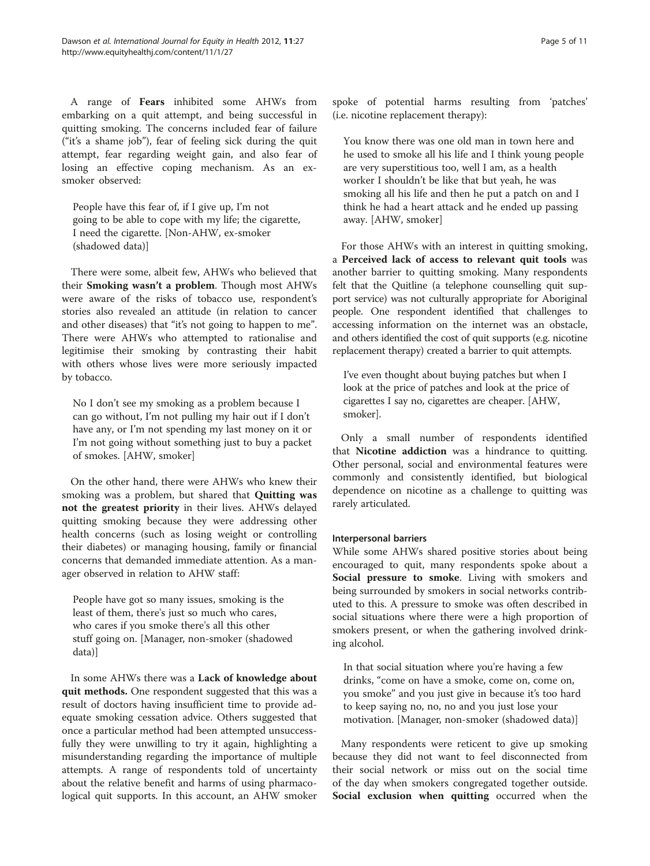A range of Fears inhibited some AHWs from embarking on a quit attempt, and being successful in quitting smoking. The concerns included fear of failure ("it's a shame job"), fear of feeling sick during the quit attempt, fear regarding weight gain, and also fear of losing an effective coping mechanism. As an exsmoker observed:

People have this fear of, if I give up, I'm not going to be able to cope with my life; the cigarette, I need the cigarette. [Non-AHW, ex-smoker (shadowed data)]

There were some, albeit few, AHWs who believed that their Smoking wasn't a problem. Though most AHWs were aware of the risks of tobacco use, respondent's stories also revealed an attitude (in relation to cancer and other diseases) that "it's not going to happen to me". There were AHWs who attempted to rationalise and legitimise their smoking by contrasting their habit with others whose lives were more seriously impacted by tobacco.

No I don't see my smoking as a problem because I can go without, I'm not pulling my hair out if I don't have any, or I'm not spending my last money on it or I'm not going without something just to buy a packet of smokes. [AHW, smoker]

On the other hand, there were AHWs who knew their smoking was a problem, but shared that Quitting was not the greatest priority in their lives. AHWs delayed quitting smoking because they were addressing other health concerns (such as losing weight or controlling their diabetes) or managing housing, family or financial concerns that demanded immediate attention. As a manager observed in relation to AHW staff:

People have got so many issues, smoking is the least of them, there's just so much who cares, who cares if you smoke there's all this other stuff going on. [Manager, non-smoker (shadowed data)]

In some AHWs there was a Lack of knowledge about quit methods. One respondent suggested that this was a result of doctors having insufficient time to provide adequate smoking cessation advice. Others suggested that once a particular method had been attempted unsuccessfully they were unwilling to try it again, highlighting a misunderstanding regarding the importance of multiple attempts. A range of respondents told of uncertainty about the relative benefit and harms of using pharmacological quit supports. In this account, an AHW smoker spoke of potential harms resulting from 'patches' (i.e. nicotine replacement therapy):

You know there was one old man in town here and he used to smoke all his life and I think young people are very superstitious too, well I am, as a health worker I shouldn't be like that but yeah, he was smoking all his life and then he put a patch on and I think he had a heart attack and he ended up passing away. [AHW, smoker]

For those AHWs with an interest in quitting smoking, a Perceived lack of access to relevant quit tools was another barrier to quitting smoking. Many respondents felt that the Quitline (a telephone counselling quit support service) was not culturally appropriate for Aboriginal people. One respondent identified that challenges to accessing information on the internet was an obstacle, and others identified the cost of quit supports (e.g. nicotine replacement therapy) created a barrier to quit attempts.

I've even thought about buying patches but when I look at the price of patches and look at the price of cigarettes I say no, cigarettes are cheaper. [AHW, smoker].

Only a small number of respondents identified that Nicotine addiction was a hindrance to quitting. Other personal, social and environmental features were commonly and consistently identified, but biological dependence on nicotine as a challenge to quitting was rarely articulated.

#### Interpersonal barriers

While some AHWs shared positive stories about being encouraged to quit, many respondents spoke about a Social pressure to smoke. Living with smokers and being surrounded by smokers in social networks contributed to this. A pressure to smoke was often described in social situations where there were a high proportion of smokers present, or when the gathering involved drinking alcohol.

In that social situation where you're having a few drinks, "come on have a smoke, come on, come on, you smoke" and you just give in because it's too hard to keep saying no, no, no and you just lose your motivation. [Manager, non-smoker (shadowed data)]

Many respondents were reticent to give up smoking because they did not want to feel disconnected from their social network or miss out on the social time of the day when smokers congregated together outside. Social exclusion when quitting occurred when the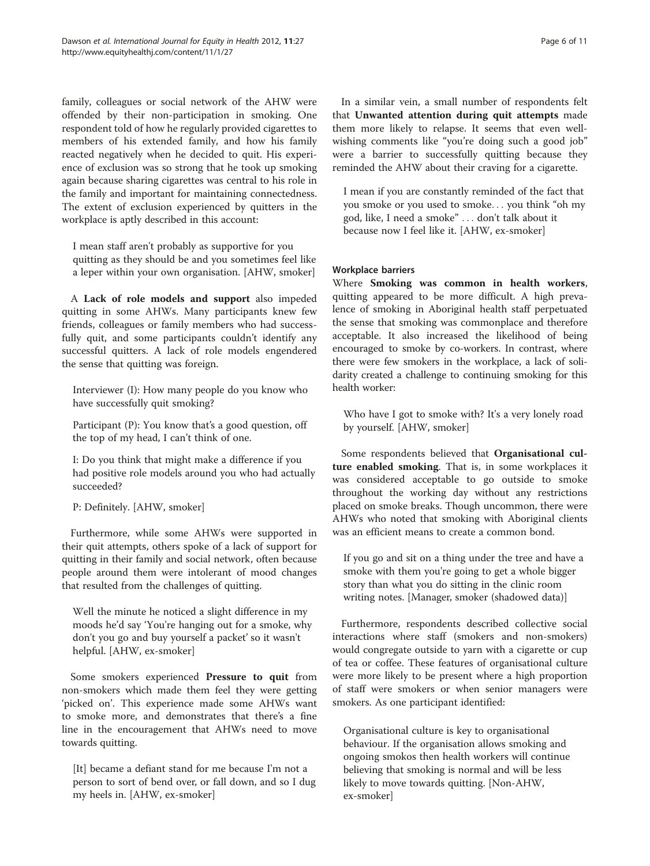family, colleagues or social network of the AHW were offended by their non-participation in smoking. One respondent told of how he regularly provided cigarettes to members of his extended family, and how his family reacted negatively when he decided to quit. His experience of exclusion was so strong that he took up smoking again because sharing cigarettes was central to his role in the family and important for maintaining connectedness. The extent of exclusion experienced by quitters in the workplace is aptly described in this account:

I mean staff aren't probably as supportive for you quitting as they should be and you sometimes feel like a leper within your own organisation. [AHW, smoker]

A Lack of role models and support also impeded quitting in some AHWs. Many participants knew few friends, colleagues or family members who had successfully quit, and some participants couldn't identify any successful quitters. A lack of role models engendered the sense that quitting was foreign.

Interviewer (I): How many people do you know who have successfully quit smoking?

Participant (P): You know that's a good question, off the top of my head, I can't think of one.

I: Do you think that might make a difference if you had positive role models around you who had actually succeeded?

P: Definitely. [AHW, smoker]

Furthermore, while some AHWs were supported in their quit attempts, others spoke of a lack of support for quitting in their family and social network, often because people around them were intolerant of mood changes that resulted from the challenges of quitting.

Well the minute he noticed a slight difference in my moods he'd say 'You're hanging out for a smoke, why don't you go and buy yourself a packet' so it wasn't helpful. [AHW, ex-smoker]

Some smokers experienced Pressure to quit from non-smokers which made them feel they were getting 'picked on'. This experience made some AHWs want to smoke more, and demonstrates that there's a fine line in the encouragement that AHWs need to move towards quitting.

[It] became a defiant stand for me because I'm not a person to sort of bend over, or fall down, and so I dug my heels in. [AHW, ex-smoker]

In a similar vein, a small number of respondents felt that Unwanted attention during quit attempts made them more likely to relapse. It seems that even wellwishing comments like "you're doing such a good job" were a barrier to successfully quitting because they reminded the AHW about their craving for a cigarette.

I mean if you are constantly reminded of the fact that you smoke or you used to smoke... you think "oh my god, like, I need a smoke" ... don't talk about it because now I feel like it. [AHW, ex-smoker]

#### Workplace barriers

Where Smoking was common in health workers, quitting appeared to be more difficult. A high prevalence of smoking in Aboriginal health staff perpetuated the sense that smoking was commonplace and therefore acceptable. It also increased the likelihood of being encouraged to smoke by co-workers. In contrast, where there were few smokers in the workplace, a lack of solidarity created a challenge to continuing smoking for this health worker:

Who have I got to smoke with? It's a very lonely road by yourself. [AHW, smoker]

Some respondents believed that Organisational culture enabled smoking. That is, in some workplaces it was considered acceptable to go outside to smoke throughout the working day without any restrictions placed on smoke breaks. Though uncommon, there were AHWs who noted that smoking with Aboriginal clients was an efficient means to create a common bond.

If you go and sit on a thing under the tree and have a smoke with them you're going to get a whole bigger story than what you do sitting in the clinic room writing notes. [Manager, smoker (shadowed data)]

Furthermore, respondents described collective social interactions where staff (smokers and non-smokers) would congregate outside to yarn with a cigarette or cup of tea or coffee. These features of organisational culture were more likely to be present where a high proportion of staff were smokers or when senior managers were smokers. As one participant identified:

Organisational culture is key to organisational behaviour. If the organisation allows smoking and ongoing smokos then health workers will continue believing that smoking is normal and will be less likely to move towards quitting. [Non-AHW, ex-smoker]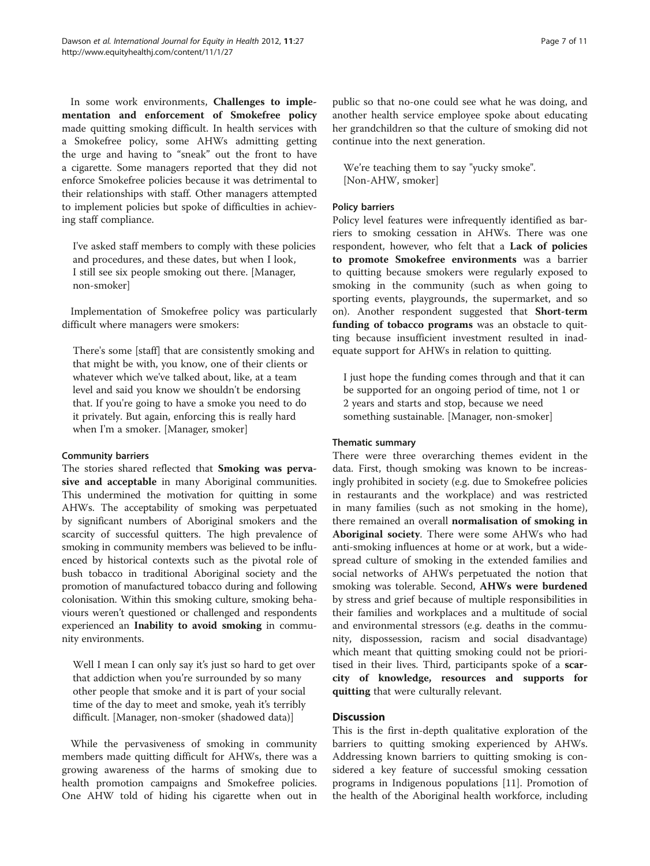In some work environments, Challenges to implementation and enforcement of Smokefree policy made quitting smoking difficult. In health services with a Smokefree policy, some AHWs admitting getting the urge and having to "sneak" out the front to have a cigarette. Some managers reported that they did not enforce Smokefree policies because it was detrimental to their relationships with staff. Other managers attempted to implement policies but spoke of difficulties in achieving staff compliance.

I've asked staff members to comply with these policies and procedures, and these dates, but when I look, I still see six people smoking out there. [Manager, non-smoker]

Implementation of Smokefree policy was particularly difficult where managers were smokers:

There's some [staff] that are consistently smoking and that might be with, you know, one of their clients or whatever which we've talked about, like, at a team level and said you know we shouldn't be endorsing that. If you're going to have a smoke you need to do it privately. But again, enforcing this is really hard when I'm a smoker. [Manager, smoker]

#### Community barriers

The stories shared reflected that Smoking was pervasive and acceptable in many Aboriginal communities. This undermined the motivation for quitting in some AHWs. The acceptability of smoking was perpetuated by significant numbers of Aboriginal smokers and the scarcity of successful quitters. The high prevalence of smoking in community members was believed to be influenced by historical contexts such as the pivotal role of bush tobacco in traditional Aboriginal society and the promotion of manufactured tobacco during and following colonisation. Within this smoking culture, smoking behaviours weren't questioned or challenged and respondents experienced an Inability to avoid smoking in community environments.

Well I mean I can only say it's just so hard to get over that addiction when you're surrounded by so many other people that smoke and it is part of your social time of the day to meet and smoke, yeah it's terribly difficult. [Manager, non-smoker (shadowed data)]

While the pervasiveness of smoking in community members made quitting difficult for AHWs, there was a growing awareness of the harms of smoking due to health promotion campaigns and Smokefree policies. One AHW told of hiding his cigarette when out in

public so that no-one could see what he was doing, and another health service employee spoke about educating her grandchildren so that the culture of smoking did not continue into the next generation.

We're teaching them to say "yucky smoke". [Non-AHW, smoker]

#### Policy barriers

Policy level features were infrequently identified as barriers to smoking cessation in AHWs. There was one respondent, however, who felt that a Lack of policies to promote Smokefree environments was a barrier to quitting because smokers were regularly exposed to smoking in the community (such as when going to sporting events, playgrounds, the supermarket, and so on). Another respondent suggested that Short-term funding of tobacco programs was an obstacle to quitting because insufficient investment resulted in inadequate support for AHWs in relation to quitting.

I just hope the funding comes through and that it can be supported for an ongoing period of time, not 1 or 2 years and starts and stop, because we need something sustainable. [Manager, non-smoker]

#### Thematic summary

There were three overarching themes evident in the data. First, though smoking was known to be increasingly prohibited in society (e.g. due to Smokefree policies in restaurants and the workplace) and was restricted in many families (such as not smoking in the home), there remained an overall normalisation of smoking in Aboriginal society. There were some AHWs who had anti-smoking influences at home or at work, but a widespread culture of smoking in the extended families and social networks of AHWs perpetuated the notion that smoking was tolerable. Second, AHWs were burdened by stress and grief because of multiple responsibilities in their families and workplaces and a multitude of social and environmental stressors (e.g. deaths in the community, dispossession, racism and social disadvantage) which meant that quitting smoking could not be prioritised in their lives. Third, participants spoke of a scarcity of knowledge, resources and supports for quitting that were culturally relevant.

#### **Discussion**

This is the first in-depth qualitative exploration of the barriers to quitting smoking experienced by AHWs. Addressing known barriers to quitting smoking is considered a key feature of successful smoking cessation programs in Indigenous populations [[11](#page-9-0)]. Promotion of the health of the Aboriginal health workforce, including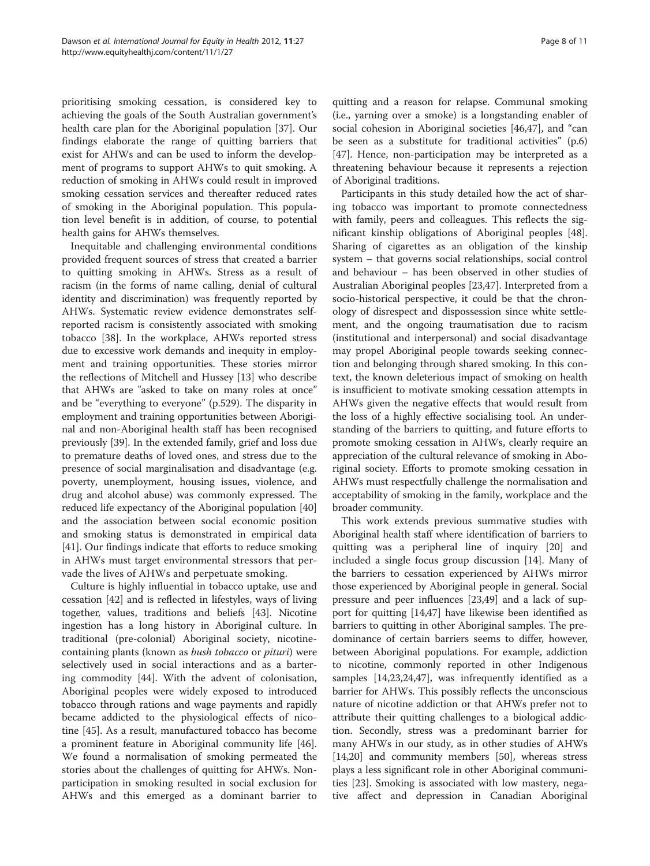prioritising smoking cessation, is considered key to achieving the goals of the South Australian government's health care plan for the Aboriginal population [\[37](#page-10-0)]. Our findings elaborate the range of quitting barriers that exist for AHWs and can be used to inform the development of programs to support AHWs to quit smoking. A reduction of smoking in AHWs could result in improved smoking cessation services and thereafter reduced rates of smoking in the Aboriginal population. This population level benefit is in addition, of course, to potential health gains for AHWs themselves.

Inequitable and challenging environmental conditions provided frequent sources of stress that created a barrier to quitting smoking in AHWs. Stress as a result of racism (in the forms of name calling, denial of cultural identity and discrimination) was frequently reported by AHWs. Systematic review evidence demonstrates selfreported racism is consistently associated with smoking tobacco [\[38](#page-10-0)]. In the workplace, AHWs reported stress due to excessive work demands and inequity in employment and training opportunities. These stories mirror the reflections of Mitchell and Hussey [\[13](#page-9-0)] who describe that AHWs are "asked to take on many roles at once" and be "everything to everyone" (p.529). The disparity in employment and training opportunities between Aboriginal and non-Aboriginal health staff has been recognised previously [\[39](#page-10-0)]. In the extended family, grief and loss due to premature deaths of loved ones, and stress due to the presence of social marginalisation and disadvantage (e.g. poverty, unemployment, housing issues, violence, and drug and alcohol abuse) was commonly expressed. The reduced life expectancy of the Aboriginal population [[40](#page-10-0)] and the association between social economic position and smoking status is demonstrated in empirical data [[41\]](#page-10-0). Our findings indicate that efforts to reduce smoking in AHWs must target environmental stressors that pervade the lives of AHWs and perpetuate smoking.

Culture is highly influential in tobacco uptake, use and cessation [\[42\]](#page-10-0) and is reflected in lifestyles, ways of living together, values, traditions and beliefs [\[43\]](#page-10-0). Nicotine ingestion has a long history in Aboriginal culture. In traditional (pre-colonial) Aboriginal society, nicotinecontaining plants (known as bush tobacco or pituri) were selectively used in social interactions and as a bartering commodity [\[44\]](#page-10-0). With the advent of colonisation, Aboriginal peoples were widely exposed to introduced tobacco through rations and wage payments and rapidly became addicted to the physiological effects of nicotine [[45](#page-10-0)]. As a result, manufactured tobacco has become a prominent feature in Aboriginal community life [\[46](#page-10-0)]. We found a normalisation of smoking permeated the stories about the challenges of quitting for AHWs. Nonparticipation in smoking resulted in social exclusion for AHWs and this emerged as a dominant barrier to quitting and a reason for relapse. Communal smoking (i.e., yarning over a smoke) is a longstanding enabler of social cohesion in Aboriginal societies [\[46,47\]](#page-10-0), and "can be seen as a substitute for traditional activities" (p.6) [[47\]](#page-10-0). Hence, non-participation may be interpreted as a threatening behaviour because it represents a rejection of Aboriginal traditions.

Participants in this study detailed how the act of sharing tobacco was important to promote connectedness with family, peers and colleagues. This reflects the significant kinship obligations of Aboriginal peoples [\[48](#page-10-0)]. Sharing of cigarettes as an obligation of the kinship system – that governs social relationships, social control and behaviour – has been observed in other studies of Australian Aboriginal peoples [[23](#page-9-0),[47](#page-10-0)]. Interpreted from a socio-historical perspective, it could be that the chronology of disrespect and dispossession since white settlement, and the ongoing traumatisation due to racism (institutional and interpersonal) and social disadvantage may propel Aboriginal people towards seeking connection and belonging through shared smoking. In this context, the known deleterious impact of smoking on health is insufficient to motivate smoking cessation attempts in AHWs given the negative effects that would result from the loss of a highly effective socialising tool. An understanding of the barriers to quitting, and future efforts to promote smoking cessation in AHWs, clearly require an appreciation of the cultural relevance of smoking in Aboriginal society. Efforts to promote smoking cessation in AHWs must respectfully challenge the normalisation and acceptability of smoking in the family, workplace and the broader community.

This work extends previous summative studies with Aboriginal health staff where identification of barriers to quitting was a peripheral line of inquiry [\[20](#page-9-0)] and included a single focus group discussion [[14\]](#page-9-0). Many of the barriers to cessation experienced by AHWs mirror those experienced by Aboriginal people in general. Social pressure and peer influences [[23,](#page-9-0)[49](#page-10-0)] and a lack of support for quitting [[14](#page-9-0)[,47](#page-10-0)] have likewise been identified as barriers to quitting in other Aboriginal samples. The predominance of certain barriers seems to differ, however, between Aboriginal populations. For example, addiction to nicotine, commonly reported in other Indigenous samples [\[14,23,24](#page-9-0)[,47\]](#page-10-0), was infrequently identified as a barrier for AHWs. This possibly reflects the unconscious nature of nicotine addiction or that AHWs prefer not to attribute their quitting challenges to a biological addiction. Secondly, stress was a predominant barrier for many AHWs in our study, as in other studies of AHWs [[14,20](#page-9-0)] and community members [\[50\]](#page-10-0), whereas stress plays a less significant role in other Aboriginal communities [\[23](#page-9-0)]. Smoking is associated with low mastery, negative affect and depression in Canadian Aboriginal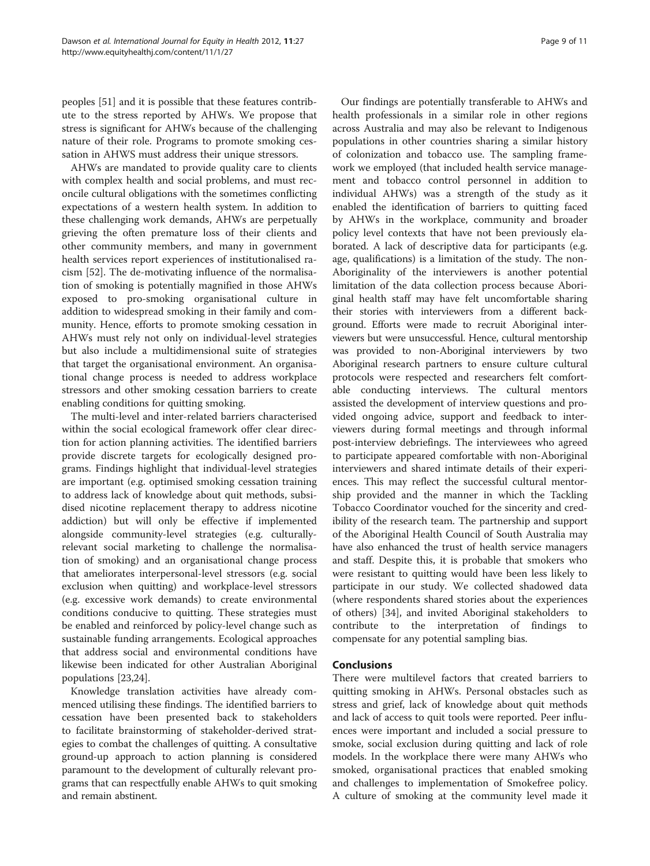peoples [\[51](#page-10-0)] and it is possible that these features contribute to the stress reported by AHWs. We propose that stress is significant for AHWs because of the challenging nature of their role. Programs to promote smoking cessation in AHWS must address their unique stressors.

AHWs are mandated to provide quality care to clients with complex health and social problems, and must reconcile cultural obligations with the sometimes conflicting expectations of a western health system. In addition to these challenging work demands, AHWs are perpetually grieving the often premature loss of their clients and other community members, and many in government health services report experiences of institutionalised racism [[52\]](#page-10-0). The de-motivating influence of the normalisation of smoking is potentially magnified in those AHWs exposed to pro-smoking organisational culture in addition to widespread smoking in their family and community. Hence, efforts to promote smoking cessation in AHWs must rely not only on individual-level strategies but also include a multidimensional suite of strategies that target the organisational environment. An organisational change process is needed to address workplace stressors and other smoking cessation barriers to create enabling conditions for quitting smoking.

The multi-level and inter-related barriers characterised within the social ecological framework offer clear direction for action planning activities. The identified barriers provide discrete targets for ecologically designed programs. Findings highlight that individual-level strategies are important (e.g. optimised smoking cessation training to address lack of knowledge about quit methods, subsidised nicotine replacement therapy to address nicotine addiction) but will only be effective if implemented alongside community-level strategies (e.g. culturallyrelevant social marketing to challenge the normalisation of smoking) and an organisational change process that ameliorates interpersonal-level stressors (e.g. social exclusion when quitting) and workplace-level stressors (e.g. excessive work demands) to create environmental conditions conducive to quitting. These strategies must be enabled and reinforced by policy-level change such as sustainable funding arrangements. Ecological approaches that address social and environmental conditions have likewise been indicated for other Australian Aboriginal populations [[23](#page-9-0),[24](#page-9-0)].

Knowledge translation activities have already commenced utilising these findings. The identified barriers to cessation have been presented back to stakeholders to facilitate brainstorming of stakeholder-derived strategies to combat the challenges of quitting. A consultative ground-up approach to action planning is considered paramount to the development of culturally relevant programs that can respectfully enable AHWs to quit smoking and remain abstinent.

Our findings are potentially transferable to AHWs and health professionals in a similar role in other regions across Australia and may also be relevant to Indigenous populations in other countries sharing a similar history of colonization and tobacco use. The sampling framework we employed (that included health service management and tobacco control personnel in addition to individual AHWs) was a strength of the study as it enabled the identification of barriers to quitting faced by AHWs in the workplace, community and broader policy level contexts that have not been previously elaborated. A lack of descriptive data for participants (e.g. age, qualifications) is a limitation of the study. The non-Aboriginality of the interviewers is another potential limitation of the data collection process because Aboriginal health staff may have felt uncomfortable sharing their stories with interviewers from a different background. Efforts were made to recruit Aboriginal interviewers but were unsuccessful. Hence, cultural mentorship was provided to non-Aboriginal interviewers by two Aboriginal research partners to ensure culture cultural protocols were respected and researchers felt comfortable conducting interviews. The cultural mentors assisted the development of interview questions and provided ongoing advice, support and feedback to interviewers during formal meetings and through informal post-interview debriefings. The interviewees who agreed to participate appeared comfortable with non-Aboriginal interviewers and shared intimate details of their experiences. This may reflect the successful cultural mentorship provided and the manner in which the Tackling Tobacco Coordinator vouched for the sincerity and credibility of the research team. The partnership and support of the Aboriginal Health Council of South Australia may have also enhanced the trust of health service managers and staff. Despite this, it is probable that smokers who were resistant to quitting would have been less likely to participate in our study. We collected shadowed data (where respondents shared stories about the experiences of others) [\[34\]](#page-10-0), and invited Aboriginal stakeholders to contribute to the interpretation of findings to compensate for any potential sampling bias.

### Conclusions

There were multilevel factors that created barriers to quitting smoking in AHWs. Personal obstacles such as stress and grief, lack of knowledge about quit methods and lack of access to quit tools were reported. Peer influences were important and included a social pressure to smoke, social exclusion during quitting and lack of role models. In the workplace there were many AHWs who smoked, organisational practices that enabled smoking and challenges to implementation of Smokefree policy. A culture of smoking at the community level made it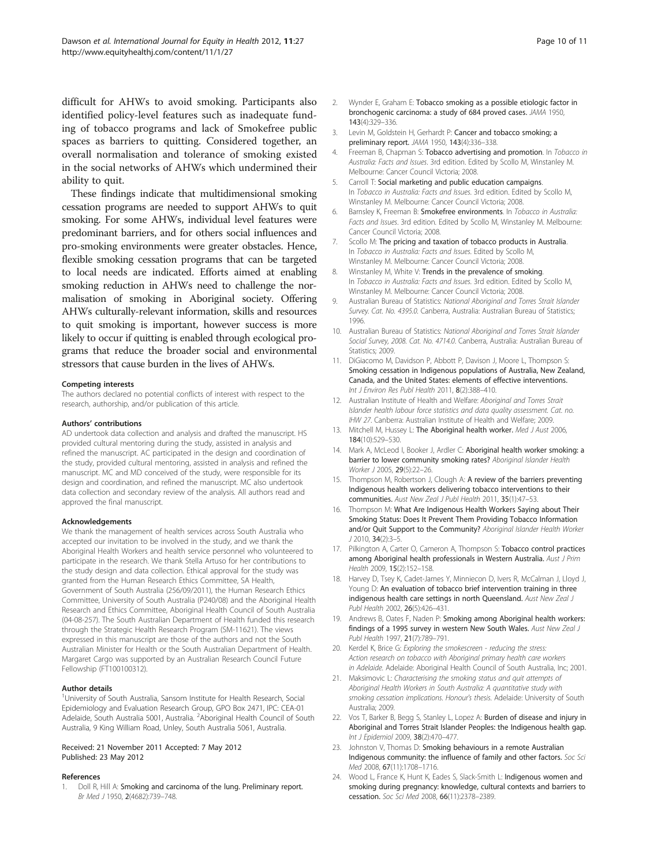<span id="page-9-0"></span>difficult for AHWs to avoid smoking. Participants also identified policy-level features such as inadequate funding of tobacco programs and lack of Smokefree public spaces as barriers to quitting. Considered together, an overall normalisation and tolerance of smoking existed in the social networks of AHWs which undermined their ability to quit.

These findings indicate that multidimensional smoking cessation programs are needed to support AHWs to quit smoking. For some AHWs, individual level features were predominant barriers, and for others social influences and pro-smoking environments were greater obstacles. Hence, flexible smoking cessation programs that can be targeted to local needs are indicated. Efforts aimed at enabling smoking reduction in AHWs need to challenge the normalisation of smoking in Aboriginal society. Offering AHWs culturally-relevant information, skills and resources to quit smoking is important, however success is more likely to occur if quitting is enabled through ecological programs that reduce the broader social and environmental stressors that cause burden in the lives of AHWs.

#### Competing interests

The authors declared no potential conflicts of interest with respect to the research, authorship, and/or publication of this article.

#### Authors' contributions

AD undertook data collection and analysis and drafted the manuscript. HS provided cultural mentoring during the study, assisted in analysis and refined the manuscript. AC participated in the design and coordination of the study, provided cultural mentoring, assisted in analysis and refined the manuscript. MC and MD conceived of the study, were responsible for its design and coordination, and refined the manuscript. MC also undertook data collection and secondary review of the analysis. All authors read and approved the final manuscript.

#### Acknowledgements

We thank the management of health services across South Australia who accepted our invitation to be involved in the study, and we thank the Aboriginal Health Workers and health service personnel who volunteered to participate in the research. We thank Stella Artuso for her contributions to the study design and data collection. Ethical approval for the study was granted from the Human Research Ethics Committee, SA Health, Government of South Australia (256/09/2011), the Human Research Ethics Committee, University of South Australia (P240/08) and the Aboriginal Health Research and Ethics Committee, Aboriginal Health Council of South Australia (04-08-257). The South Australian Department of Health funded this research through the Strategic Health Research Program (SM-11621). The views expressed in this manuscript are those of the authors and not the South Australian Minister for Health or the South Australian Department of Health. Margaret Cargo was supported by an Australian Research Council Future Fellowship (FT100100312).

#### Author details

<sup>1</sup>University of South Australia, Sansom Institute for Health Research, Social Epidemiology and Evaluation Research Group, GPO Box 2471, IPC: CEA-01 Adelaide, South Australia 5001, Australia. <sup>2</sup>Aboriginal Health Council of South Australia, 9 King William Road, Unley, South Australia 5061, Australia.

#### Received: 21 November 2011 Accepted: 7 May 2012 Published: 23 May 2012

#### References

1. Doll R, Hill A: Smoking and carcinoma of the lung. Preliminary report. Br Med J 1950, 2(4682):739–748.

- 2. Wynder E, Graham E: Tobacco smoking as a possible etiologic factor in bronchogenic carcinoma: a study of 684 proved cases. JAMA 1950, 143(4):329–336.
- 3. Levin M, Goldstein H, Gerhardt P: Cancer and tobacco smoking; a preliminary report. JAMA 1950, 143(4):336–338.
- 4. Freeman B, Chapman S: Tobacco advertising and promotion. In Tobacco in Australia: Facts and Issues. 3rd edition. Edited by Scollo M, Winstanley M. Melbourne: Cancer Council Victoria; 2008.
- 5. Carroll T: Social marketing and public education campaigns. In Tobacco in Australia: Facts and Issues. 3rd edition. Edited by Scollo M, Winstanley M. Melbourne: Cancer Council Victoria; 2008.
- 6. Barnsley K, Freeman B: Smokefree environments. In Tobacco in Australia: Facts and Issues. 3rd edition. Edited by Scollo M, Winstanley M. Melbourne: Cancer Council Victoria; 2008.
- 7. Scollo M: The pricing and taxation of tobacco products in Australia. In Tobacco in Australia: Facts and Issues. Edited by Scollo M, Winstanley M. Melbourne: Cancer Council Victoria; 2008.
- 8. Winstanley M, White V: Trends in the prevalence of smoking. In Tobacco in Australia: Facts and Issues. 3rd edition. Edited by Scollo M, Winstanley M. Melbourne: Cancer Council Victoria; 2008.
- 9. Australian Bureau of Statistics: National Aboriginal and Torres Strait Islander Survey. Cat. No. 4395.0. Canberra, Australia: Australian Bureau of Statistics; 1996.
- 10. Australian Bureau of Statistics: National Aboriginal and Torres Strait Islander Social Survey, 2008. Cat. No. 4714.0. Canberra, Australia: Australian Bureau of Statistics: 2009.
- 11. DiGiacomo M, Davidson P, Abbott P, Davison J, Moore L, Thompson S: Smoking cessation in Indigenous populations of Australia, New Zealand, Canada, and the United States: elements of effective interventions. Int I Environ Res Publ Health 2011, 8(2):388-410.
- 12. Australian Institute of Health and Welfare: Aboriginal and Torres Strait Islander health labour force statistics and data quality assessment. Cat. no. IHW 27. Canberra: Australian Institute of Health and Welfare; 2009.
- 13. Mitchell M, Hussey L: The Aboriginal health worker. Med J Aust 2006, 184(10):529–530.
- 14. Mark A, McLeod I, Booker J, Ardler C: Aboriginal health worker smoking: a barrier to lower community smoking rates? Aboriginal Islander Health Worker J 2005, 29(5):22–26.
- 15. Thompson M, Robertson J, Clough A: A review of the barriers preventing Indigenous health workers delivering tobacco interventions to their communities. Aust New Zeal J Publ Health 2011, 35(1):47–53.
- 16. Thompson M: What Are Indigenous Health Workers Saying about Their Smoking Status: Does It Prevent Them Providing Tobacco Information and/or Quit Support to the Community? Aboriginal Islander Health Worker J 2010, 34(2):3–5.
- 17. Pilkington A, Carter O, Cameron A, Thompson S: Tobacco control practices among Aboriginal health professionals in Western Australia. Aust J Prim Health 2009, 15(2):152–158.
- 18. Harvey D, Tsey K, Cadet-James Y, Minniecon D, Ivers R, McCalman J, Lloyd J, Young D: An evaluation of tobacco brief intervention training in three indigenous health care settings in north Queensland. Aust New Zeal J Publ Health 2002, 26(5):426–431.
- 19. Andrews B, Oates F, Naden P: Smoking among Aboriginal health workers: findings of a 1995 survey in western New South Wales. Aust New Zeal J Publ Health 1997, 21(7):789–791.
- 20. Kerdel K, Brice G: Exploring the smokescreen reducing the stress: Action research on tobacco with Aboriginal primary health care workers in Adelaide. Adelaide: Aboriginal Health Council of South Australia, Inc; 2001.
- 21. Maksimovic L: Characterising the smoking status and quit attempts of Aboriginal Health Workers in South Australia: A quantitative study with smoking cessation implications. Honour's thesis. Adelaide: University of South Australia; 2009.
- 22. Vos T, Barker B, Begg S, Stanley L, Lopez A: Burden of disease and injury in Aboriginal and Torres Strait Islander Peoples: the Indigenous health gap. Int J Epidemiol 2009, 38(2):470–477.
- 23. Johnston V, Thomas D: Smoking behaviours in a remote Australian Indigenous community: the influence of family and other factors. Soc Sci Med 2008, 67(11):1708–1716.
- 24. Wood L, France K, Hunt K, Eades S, Slack-Smith L: Indigenous women and smoking during pregnancy: knowledge, cultural contexts and barriers to cessation. Soc Sci Med 2008, 66(11):2378–2389.